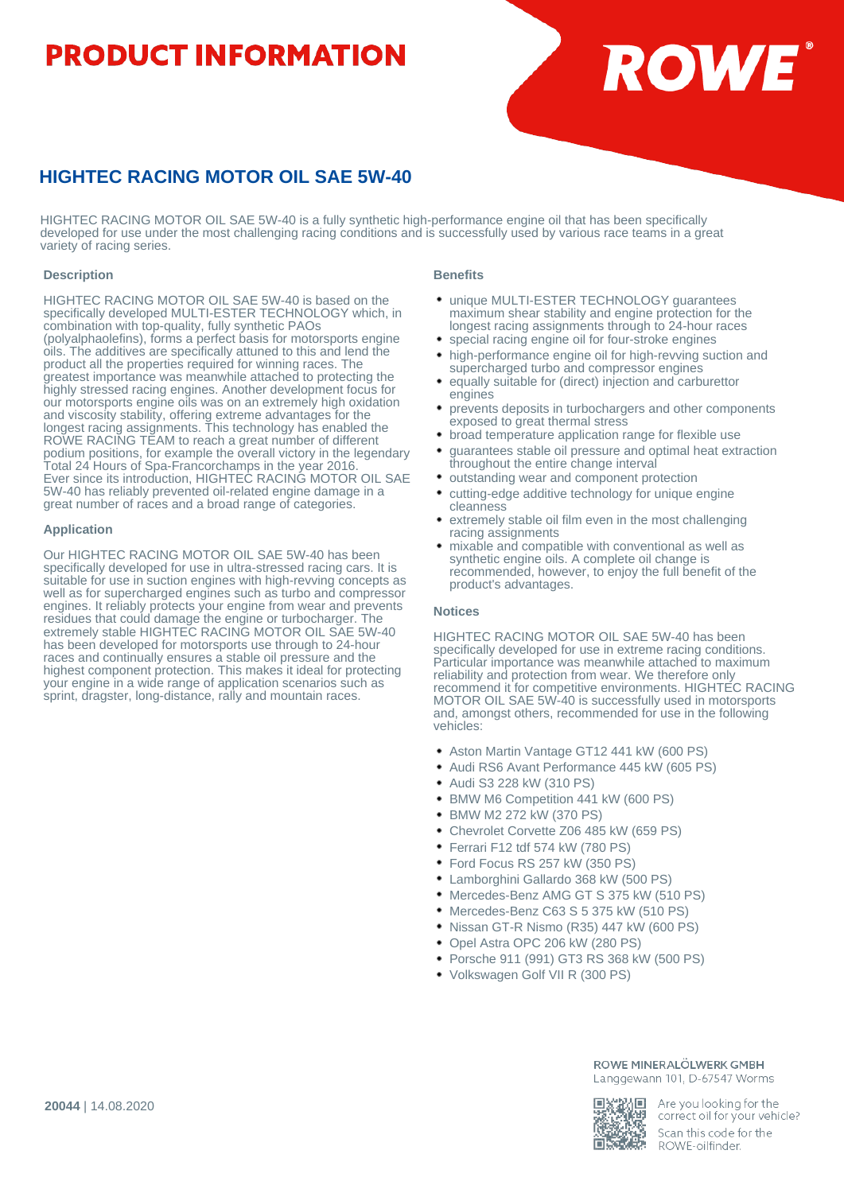# **PRODUCT INFORMATION**



# **HIGHTEC RACING MOTOR OIL SAE 5W-40**

HIGHTEC RACING MOTOR OIL SAE 5W-40 is a fully synthetic high-performance engine oil that has been specifically developed for use under the most challenging racing conditions and is successfully used by various race teams in a great variety of racing series.

## **Description**

HIGHTEC RACING MOTOR OIL SAE 5W-40 is based on the specifically developed MULTI-ESTER TECHNOLOGY which, in combination with top-quality, fully synthetic PAOs (polyalphaolefins), forms a perfect basis for motorsports engine oils. The additives are specifically attuned to this and lend the product all the properties required for winning races. The greatest importance was meanwhile attached to protecting the highly stressed racing engines. Another development focus for our motorsports engine oils was on an extremely high oxidation and viscosity stability, offering extreme advantages for the longest racing assignments. This technology has enabled the ROWE RACING TEAM to reach a great number of different podium positions, for example the overall victory in the legendary Total 24 Hours of Spa-Francorchamps in the year 2016. Ever since its introduction, HIGHTEC RACING MOTOR OIL SAE 5W-40 has reliably prevented oil-related engine damage in a great number of races and a broad range of categories.

### **Application**

Our HIGHTEC RACING MOTOR OIL SAE 5W-40 has been specifically developed for use in ultra-stressed racing cars. It is suitable for use in suction engines with high-revving concepts as well as for supercharged engines such as turbo and compressor engines. It reliably protects your engine from wear and prevents residues that could damage the engine or turbocharger. The extremely stable HIGHTEC RACING MOTOR OIL SAE 5W-40 has been developed for motorsports use through to 24-hour races and continually ensures a stable oil pressure and the highest component protection. This makes it ideal for protecting your engine in a wide range of application scenarios such as sprint, dragster, long-distance, rally and mountain races.

#### **Benefits**

- unique MULTI-ESTER TECHNOLOGY guarantees maximum shear stability and engine protection for the longest racing assignments through to 24-hour races
- special racing engine oil for four-stroke engines high-performance engine oil for high-revving suction and
- supercharged turbo and compressor engines equally suitable for (direct) injection and carburettor engines
- prevents deposits in turbochargers and other components exposed to great thermal stress
- broad temperature application range for flexible use
- guarantees stable oil pressure and optimal heat extraction throughout the entire change interval
- outstanding wear and component protection
- cutting-edge additive technology for unique engine cleanness
- extremely stable oil film even in the most challenging racing assignments
- mixable and compatible with conventional as well as synthetic engine oils. A complete oil change is recommended, however, to enjoy the full benefit of the product's advantages.

#### **Notices**

HIGHTEC RACING MOTOR OIL SAE 5W-40 has been specifically developed for use in extreme racing conditions. Particular importance was meanwhile attached to maximum reliability and protection from wear. We therefore only recommend it for competitive environments. HIGHTEC RACING MOTOR OIL SAE 5W-40 is successfully used in motorsports and, amongst others, recommended for use in the following vehicles:

- Aston Martin Vantage GT12 441 kW (600 PS)
- Audi RS6 Avant Performance 445 kW (605 PS)
- Audi S3 228 kW (310 PS)
- BMW M6 Competition 441 kW (600 PS)
- BMW M2 272 kW (370 PS)
- Chevrolet Corvette Z06 485 kW (659 PS)
- Ferrari F12 tdf 574 kW (780 PS)
- Ford Focus RS 257 kW (350 PS)
- Lamborghini Gallardo 368 kW (500 PS)
- Mercedes-Benz AMG GT S 375 kW (510 PS)
- Mercedes-Benz C63 S 5 375 kW (510 PS)
- Nissan GT-R Nismo (R35) 447 kW (600 PS)
- Opel Astra OPC 206 kW (280 PS)
- Porsche 911 (991) GT3 RS 368 kW (500 PS)
- Volkswagen Golf VII R (300 PS)

#### ROWE MINERALÖLWERK GMBH Langgewann 101, D-67547 Worms

ИΠ rт

Are you looking for the correct oil for your vehicle? Scan this code for the ROWE-oilfinder.